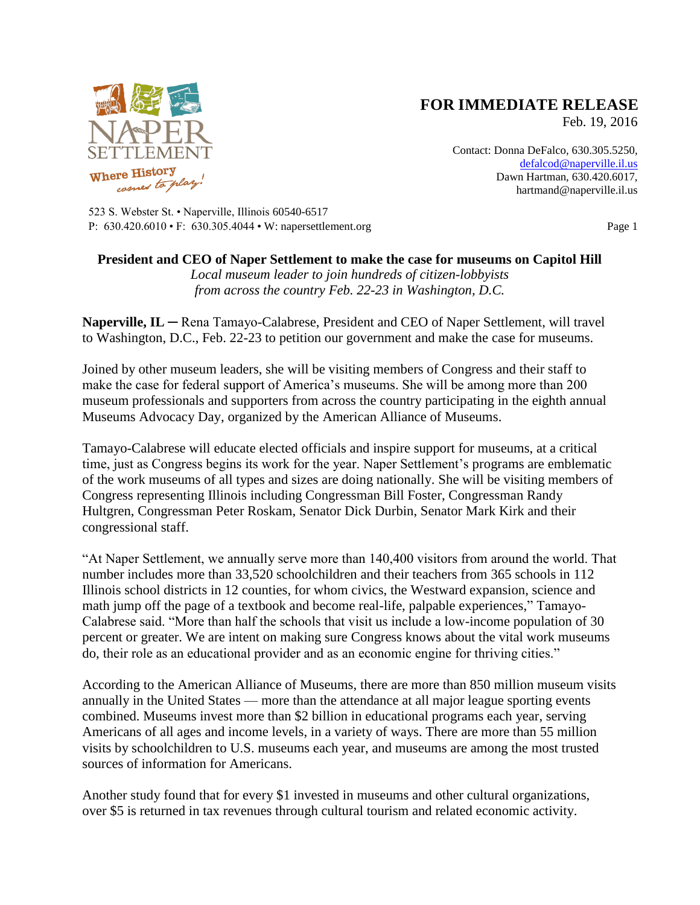

## **FOR IMMEDIATE RELEASE**

Feb. 19, 2016

Contact: Donna DeFalco, 630.305.5250, [defalcod@naperville.il.us](mailto:defalcod@naperville.il.us) Dawn Hartman, 630.420.6017, hartmand@naperville.il.us

523 S. Webster St. • Naperville, Illinois 60540-6517 P: 630.420.6010 • F: 630.305.4044 • W: napersettlement.org Page 1

## **President and CEO of Naper Settlement to make the case for museums on Capitol Hill**

*Local museum leader to join hundreds of citizen-lobbyists from across the country Feb. 22-23 in Washington, D.C.*

**Naperville, IL** ─ Rena Tamayo-Calabrese, President and CEO of Naper Settlement, will travel to Washington, D.C., Feb. 22-23 to petition our government and make the case for museums.

Joined by other museum leaders, she will be visiting members of Congress and their staff to make the case for federal support of America's museums. She will be among more than 200 museum professionals and supporters from across the country participating in the eighth annual Museums Advocacy Day, organized by the American Alliance of Museums.

Tamayo-Calabrese will educate elected officials and inspire support for museums, at a critical time, just as Congress begins its work for the year. Naper Settlement's programs are emblematic of the work museums of all types and sizes are doing nationally. She will be visiting members of Congress representing Illinois including Congressman Bill Foster, Congressman Randy Hultgren, Congressman Peter Roskam, Senator Dick Durbin, Senator Mark Kirk and their congressional staff.

"At Naper Settlement, we annually serve more than 140,400 visitors from around the world. That number includes more than 33,520 schoolchildren and their teachers from 365 schools in 112 Illinois school districts in 12 counties, for whom civics, the Westward expansion, science and math jump off the page of a textbook and become real-life, palpable experiences," Tamayo-Calabrese said. "More than half the schools that visit us include a low-income population of 30 percent or greater. We are intent on making sure Congress knows about the vital work museums do, their role as an educational provider and as an economic engine for thriving cities."

According to the American Alliance of Museums, there are more than 850 million museum visits annually in the United States — more than the attendance at all major league sporting events combined. Museums invest more than \$2 billion in educational programs each year, serving Americans of all ages and income levels, in a variety of ways. There are more than 55 million visits by schoolchildren to U.S. museums each year, and museums are among the most trusted sources of information for Americans.

Another study found that for every \$1 invested in museums and other cultural organizations, over \$5 is returned in tax revenues through cultural tourism and related economic activity.